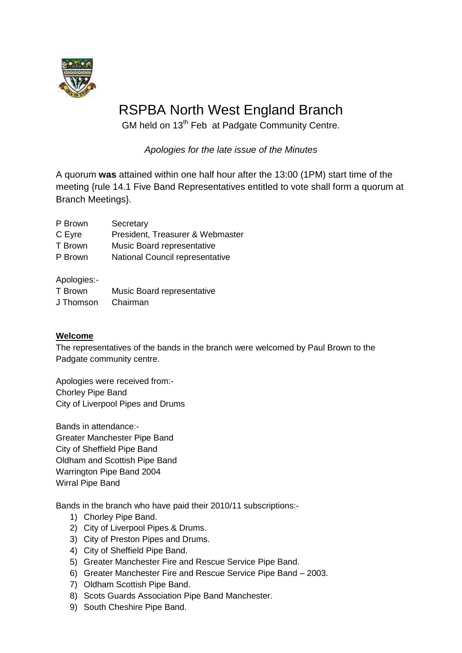

# RSPBA North West England Branch

GM held on 13<sup>th</sup> Feb at Padgate Community Centre.

*Apologies for the late issue of the Minutes*

A quorum **was** attained within one half hour after the 13:00 (1PM) start time of the meeting {rule 14.1 Five Band Representatives entitled to vote shall form a quorum at Branch Meetings}.

| P Brown | Secretary |
|---------|-----------|
|         |           |

C Eyre President, Treasurer & Webmaster

T Brown Music Board representative

P Brown National Council representative

Apologies:-

| T Brown   | Music Board representative |
|-----------|----------------------------|
| J Thomson | Chairman                   |

### **Welcome**

The representatives of the bands in the branch were welcomed by Paul Brown to the Padgate community centre.

Apologies were received from:- Chorley Pipe Band City of Liverpool Pipes and Drums

Bands in attendance:- Greater Manchester Pipe Band City of Sheffield Pipe Band Oldham and Scottish Pipe Band Warrington Pipe Band 2004 Wirral Pipe Band

Bands in the branch who have paid their 2010/11 subscriptions:-

- 1) Chorley Pipe Band.
- 2) City of Liverpool Pipes & Drums.
- 3) City of Preston Pipes and Drums.
- 4) City of Sheffield Pipe Band.
- 5) Greater Manchester Fire and Rescue Service Pipe Band.
- 6) Greater Manchester Fire and Rescue Service Pipe Band 2003.
- 7) Oldham Scottish Pipe Band.
- 8) Scots Guards Association Pipe Band Manchester.
- 9) South Cheshire Pipe Band.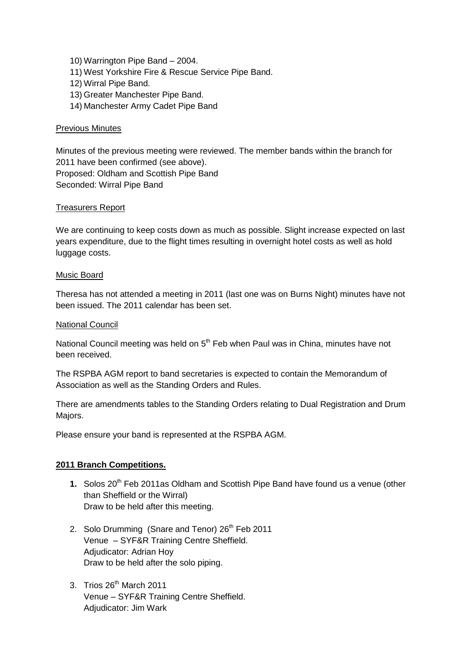- 10) Warrington Pipe Band 2004.
- 11) West Yorkshire Fire & Rescue Service Pipe Band.
- 12) Wirral Pipe Band.
- 13) Greater Manchester Pipe Band.
- 14) Manchester Army Cadet Pipe Band

#### Previous Minutes

Minutes of the previous meeting were reviewed. The member bands within the branch for 2011 have been confirmed (see above). Proposed: Oldham and Scottish Pipe Band Seconded: Wirral Pipe Band

#### Treasurers Report

We are continuing to keep costs down as much as possible. Slight increase expected on last years expenditure, due to the flight times resulting in overnight hotel costs as well as hold luggage costs.

#### Music Board

Theresa has not attended a meeting in 2011 (last one was on Burns Night) minutes have not been issued. The 2011 calendar has been set.

#### National Council

National Council meeting was held on  $5<sup>th</sup>$  Feb when Paul was in China, minutes have not been received.

The RSPBA AGM report to band secretaries is expected to contain the Memorandum of Association as well as the Standing Orders and Rules.

There are amendments tables to the Standing Orders relating to Dual Registration and Drum Majors.

Please ensure your band is represented at the RSPBA AGM.

#### **2011 Branch Competitions.**

- **1.** Solos 20<sup>th</sup> Feb 2011as Oldham and Scottish Pipe Band have found us a venue (other than Sheffield or the Wirral) Draw to be held after this meeting.
- 2. Solo Drumming (Snare and Tenor) 26<sup>th</sup> Feb 2011 Venue – SYF&R Training Centre Sheffield. Adjudicator: Adrian Hoy Draw to be held after the solo piping.
- 3. Trios 26<sup>th</sup> March 2011 Venue – SYF&R Training Centre Sheffield. Adjudicator: Jim Wark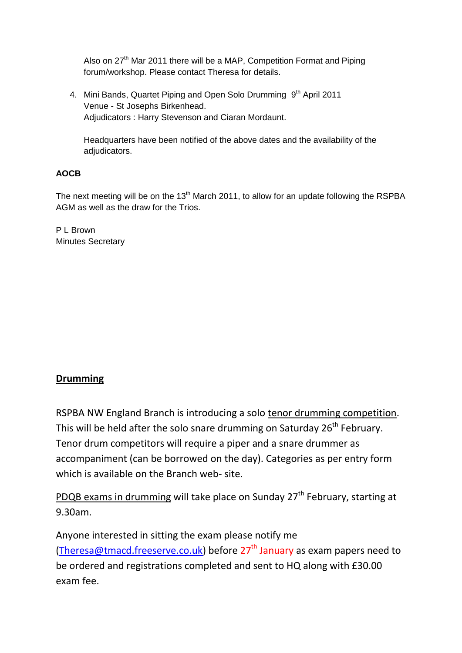Also on 27<sup>th</sup> Mar 2011 there will be a MAP, Competition Format and Piping forum/workshop. Please contact Theresa for details.

4. Mini Bands, Quartet Piping and Open Solo Drumming 9<sup>th</sup> April 2011 Venue - St Josephs Birkenhead. Adjudicators : Harry Stevenson and Ciaran Mordaunt.

Headquarters have been notified of the above dates and the availability of the adjudicators.

## **AOCB**

The next meeting will be on the  $13<sup>th</sup>$  March 2011, to allow for an update following the RSPBA AGM as well as the draw for the Trios.

P L Brown Minutes Secretary

# **Drumming**

RSPBA NW England Branch is introducing a solo tenor drumming competition. This will be held after the solo snare drumming on Saturday  $26<sup>th</sup>$  February. Tenor drum competitors will require a piper and a snare drummer as accompaniment (can be borrowed on the day). Categories as per entry form which is available on the Branch web- site.

PDQB exams in drumming will take place on Sunday 27<sup>th</sup> February, starting at 9.30am.

Anyone interested in sitting the exam please notify me [\(Theresa@tmacd.freeserve.co.uk\)](mailto:Theresa@tmacd.freeserve.co.uk) before  $27<sup>th</sup>$  January as exam papers need to be ordered and registrations completed and sent to HQ along with £30.00 exam fee.